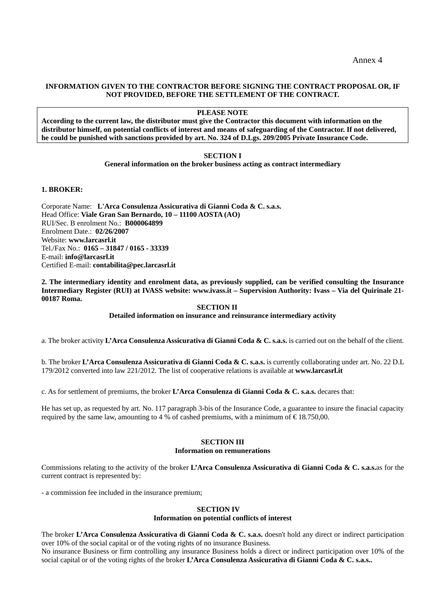# **INFORMATION GIVEN TO THE CONTRACTOR BEFORE SIGNING THE CONTRACT PROPOSAL OR, IF NOT PROVIDED, BEFORE THE SETTLEMENT OF THE CONTRACT.**

### **PLEASE NOTE**

**According to the current law, the distributor must give the Contractor this document with information on the distributor himself, on potential conflicts of interest and means of safeguarding of the Contractor. If not delivered, he could be punished with sanctions provided by art. No. 324 of D.Lgs. 209/2005 Private Insurance Code.** 

# **SECTION I**

**General information on the broker business acting as contract intermediary** 

# **1. BROKER:**

Corporate Name: **L'Arca Consulenza Assicurativa di Gianni Coda & C. s.a.s.** Head Office: **Viale Gran San Bernardo, 10 – 11100 AOSTA (AO)**  RUI/Sec. B enrolment No.: **B000064899** Enrolment Date.: **02/26/2007** Website: **www.larcasrl.it** Tel./Fax No.: **0165 – 31847 / 0165 - 33339** E-mail: **info@larcasrl.it** Certified E-mail: **contabilita@pec.larcasrl.it**

**2. The intermediary identity and enrolment data, as previously supplied, can be verified consulting the Insurance Intermediary Register (RUI) at IVASS website: www.ivass.it – Supervision Authority: Ivass – Via del Quirinale 21- 00187 Roma.**

 **SECTION II** 

**Detailed information on insurance and reinsurance intermediary activity** 

a. The broker activity **L'Arca Consulenza Assicurativa di Gianni Coda & C. s.a.s.** is carried out on the behalf of the client.

b. The broker **L'Arca Consulenza Assicurativa di Gianni Coda & C. s.a.s.** is currently collaborating under art. No. 22 D.L 179/2012 converted into law 221/2012. The list of cooperative relations is available at **www.larcasrl.it**

c. As for settlement of premiums, the broker **L'Arca Consulenza di Gianni Coda & C. s.a.s.** decares that:

He has set up, as requested by art. No. 117 paragraph 3-bis of the Insurance Code, a guarantee to insure the finacial capacity required by the same law, amounting to 4 % of cashed premiums, with a minimum of  $\text{\textsterling}18.750,00$ .

#### **SECTION III Information on remunerations**

Commissions relating to the activity of the broker **L'Arca Consulenza Assicurativa di Gianni Coda & C. s.a.s.**as for the current contract is represented by:

- a commission fee included in the insurance premium;

## **SECTION IV**

### **Information on potential conflicts of interest**

The broker **L'Arca Consulenza Assicurativa di Gianni Coda & C. s.a.s.** doesn't hold any direct or indirect participation over 10% of the social capital or of the voting rights of no insurance Business*.*

No insurance Business or firm controlling any insurance Business holds a direct or indirect participation over 10% of the social capital or of the voting rights of the broker **L'Arca Consulenza Assicurativa di Gianni Coda & C. s.a.s..**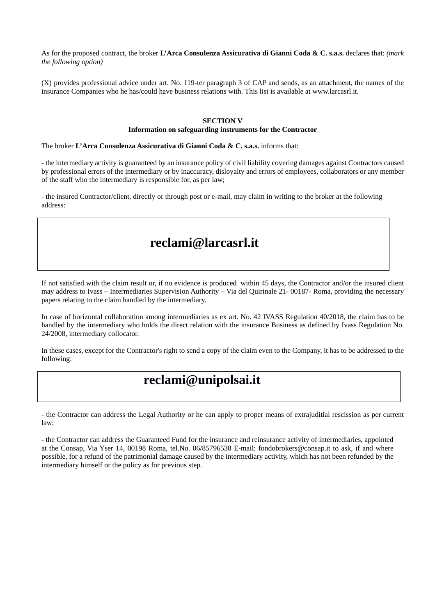As for the proposed contract, the broker **L'Arca Consulenza Assicurativa di Gianni Coda & C. s.a.s.** declares that: *(mark the following option)*

(X) provides professional advice under art. No. 119-ter paragraph 3 of CAP and sends, as an attachment, the names of the insurance Companies who he has/could have business relations with. This list is available at www.larcasrl.it.

#### **SECTION V**

### **Information on safeguarding instruments for the Contractor**

The broker **L'Arca Consulenza Assicurativa di Gianni Coda & C. s.a.s.** informs that:

- the intermediary activity is guaranteed by an insurance policy of civil liability covering damages against Contractors caused by professional errors of the intermediary or by inaccuracy, disloyalty and errors of employees, collaborators or any member of the staff who the intermediary is responsible for, as per law;

- the insured Contractor/client, directly or through post or e-mail, may claim in writing to the broker at the following address:

# **reclami@larcasrl.it**

If not satisfied with the claim result or, if no evidence is produced within 45 days, the Contractor and/or the insured client may address to Ivass – Intermediaries Supervision Authority – Via del Quirinale 21- 00187- Roma, providing the necessary papers relating to the claim handled by the intermediary.

In case of horizontal collaboration among intermediaries as ex art. No. 42 IVASS Regulation 40/2018, the claim has to be handled by the intermediary who holds the direct relation with the insurance Business as defined by Ivass Regulation No. 24/2008, intermediary collocator.

In these cases, except for the Contractor's right to send a copy of the claim even to the Company, it has to be addressed to the following:

# **reclami@unipolsai.it**

- the Contractor can address the Legal Authority or he can apply to proper means of extrajuditial rescission as per current law;

- the Contractor can address the Guaranteed Fund for the insurance and reinsurance activity of intermediaries, appointed at the Consap, Via Yser 14, 00198 Roma, tel.No. 06/85796538 E-mail: fondobrokers@consap.it to ask, if and where possible, for a refund of the patrimonial damage caused by the intermediary activity, which has not been refunded by the intermediary himself or the policy as for previous step.